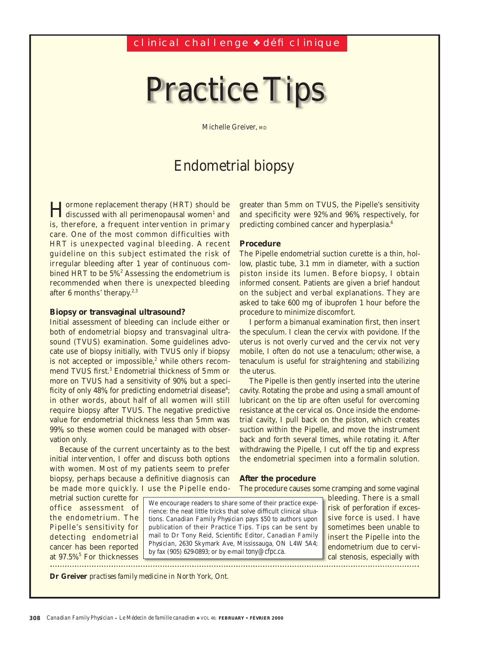# Practice Tips

Michelle Greiver, MD

## Endometrial biopsy

Hormone replacement therapy (HRT) should be discussed with all perimenopausal women1 and is, therefore, a frequent intervention in primary care. One of the most common difficulties with HRT is unexpected vaginal bleeding. A recent guideline on this subject estimated the risk of irregular bleeding after 1 year of continuous combined HRT to be 5%.<sup>2</sup> Assessing the endometrium is recommended when there is unexpected bleeding after 6 months' therapy. $2,3$ 

#### **Biopsy or transvaginal ultrasound?**

Initial assessment of bleeding can include either or both of endometrial biopsy and transvaginal ultrasound (TVUS) examination. Some guidelines advocate use of biopsy initially, with TVUS only if biopsy is not accepted or impossible, $2$  while others recommend TVUS first.<sup>3</sup> Endometrial thickness of 5 mm or more on TVUS had a sensitivity of 90%, but a specificity of only 48%, for predicting endometrial disease<sup>4</sup>; in other words, about half of all women will still require biopsy after TVUS. The negative predictive value for endometrial thickness less than 5 mm was 99%, so these women could be managed with observation only.

Because of the current uncertainty as to the best initial intervention, I offer and discuss both options with women. Most of my patients seem to prefer biopsy, perhaps because a definitive diagnosis can be made more quickly. I use the Pipelle endogreater than 5 mm on TVUS, the Pipelle's sensitivity and specificity were 92% and 96%, respectively, for predicting combined cancer and hyperplasia.<sup>6</sup>

#### **Procedure**

The Pipelle endometrial suction curette is a thin, hollow, plastic tube, 3.1 mm in diameter, with a suction piston inside its lumen. Before biopsy, I obtain informed consent. Patients are given a brief handout on the subject and verbal explanations. They are asked to take 600 mg of ibuprofen 1 hour before the procedure to minimize discomfort.

I perform a bimanual examination first, then insert the speculum. I clean the cervix with povidone. If the uterus is not overly curved and the cervix not very mobile, I often do not use a tenaculum; otherwise, a tenaculum is useful for straightening and stabilizing the uterus.

The Pipelle is then gently inserted into the uterine cavity. Rotating the probe and using a small amount of lubricant on the tip are often useful for overcoming resistance at the cervical os. Once inside the endometrial cavity, I pull back on the piston, which creates suction within the Pipelle, and move the instrument back and forth several times, while rotating it. After withdrawing the Pipelle, I cut off the tip and express the endometrial specimen into a formalin solution.

#### **After the procedure**

The procedure causes some cramping and some vaginal

metrial suction curette for office assessment of the endometrium. The Pipelle's sensitivity for detecting endometrial cancer has been reported at 97.5%.<sup>5</sup> For thicknesses 

We encourage readers to share some of their practice experience: the neat little tricks that solve difficult clinical situations. *Canadian Family Physician* pays \$50 to authors upon publication of their Practice Tips. Tips can be sent by mail to Dr Tony Reid, Scientific Editor, *Canadian Family Physician*, 2630 Skymark Ave, Mississauga, ON L4W 5A4; by fax (905) 629-0893; or by e-mail tony@cfpc.ca.

bleeding. There is a small risk of perforation if excessive force is used. I have sometimes been unable to insert the Pipelle into the endometrium due to cervical stenosis, especially with

**Dr Greiver** *practises family medicine in North York, Ont.*